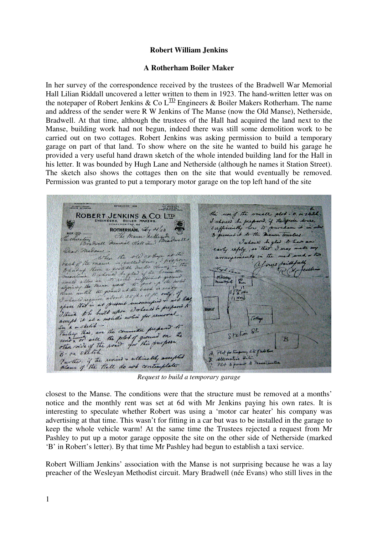## **Robert William Jenkins**

## **A Rotherham Boiler Maker**

In her survey of the correspondence received by the trustees of the Bradwell War Memorial Hall Lilian Riddall uncovered a letter written to them in 1923. The hand-written letter was on the notepaper of Robert Jenkins & Co  $L^{TD}$  Engineers & Boiler Makers Rotherham. The name and address of the sender were R W Jenkins of The Manse (now the Old Manse), Netherside, Bradwell. At that time, although the trustees of the Hall had acquired the land next to the Manse, building work had not begun, indeed there was still some demolition work to be carried out on two cottages. Robert Jenkins was asking permission to build a temporary garage on part of that land. To show where on the site he wanted to build his garage he provided a very useful hand drawn sketch of the whole intended building land for the Hall in his letter. It was bounded by Hugh Lane and Netherside (although he names it Station Street). The sketch also shows the cottages then on the site that would eventually be removed. Permission was granted to put a temporary motor garage on the top left hand of the site

**ESTARLISHED 1858** Trizonom Nº 564 ()<br>Trizonomi monume<br>Enmine Morekarden CENTRUSES the use of the small & ROBERT JENKINS & CO. LTD EERS, BOILER I should be prepared. if the  $\mathscr{P}$ ROTHERHAM.  $\frac{d}{dx}y = \frac{d}{dx}$ low to Lit to the me The Mana Retter erefun Dwell Memorial Hall verner hould be glad to her  $\mathcal{S}_{\alpha}$  $9$  may " by reply, so · That madami. when the old cothing  $H$ .  $\mathcal{L}$ of the manner is pulled down back of the means is pulled one of p there a good of the  $\mathcal{L}(\mathbf{r})$ **Ndc** allow we ing the means great nd at the back is read ac until the gar stare until the grand at the visit. on I almost require about 35 ft is appeared in the special states **MANSE** I think to be built upon comments  $G$ the A. m skelik h in skelik - the committee preps Starting this, are the committee prepared to  $\mathcal{Q}$ Station R A. Plut for Framp 5 - on shearn.<br>Further if the nevised & ultimetely accepted<br>plans of the thall do not contemplate B. Alternative Site. Plot to present to me

*Request to build a temporary garage* 

closest to the Manse. The conditions were that the structure must be removed at a months' notice and the monthly rent was set at 6d with Mr Jenkins paying his own rates. It is interesting to speculate whether Robert was using a 'motor car heater' his company was advertising at that time. This wasn't for fitting in a car but was to be installed in the garage to keep the whole vehicle warm! At the same time the Trustees rejected a request from Mr Pashley to put up a motor garage opposite the site on the other side of Netherside (marked 'B' in Robert's letter). By that time Mr Pashley had begun to establish a taxi service.

Robert William Jenkins' association with the Manse is not surprising because he was a lay preacher of the Wesleyan Methodist circuit. Mary Bradwell (née Evans) who still lives in the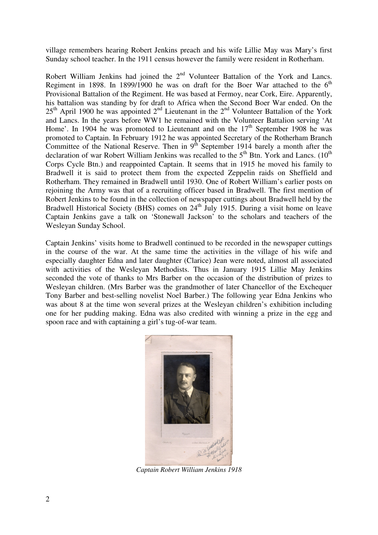village remembers hearing Robert Jenkins preach and his wife Lillie May was Mary's first Sunday school teacher. In the 1911 census however the family were resident in Rotherham.

Robert William Jenkins had joined the 2<sup>nd</sup> Volunteer Battalion of the York and Lancs. Regiment in 1898. In 1899/1900 he was on draft for the Boer War attached to the  $6<sup>th</sup>$ Provisional Battalion of the Regiment. He was based at Fermoy, near Cork, Eire. Apparently, his battalion was standing by for draft to Africa when the Second Boer War ended. On the  $25<sup>th</sup>$  April 1900 he was appointed  $2<sup>nd</sup>$  Lieutenant in the  $2<sup>nd</sup>$  Volunteer Battalion of the York and Lancs. In the years before WW1 he remained with the Volunteer Battalion serving 'At Home'. In 1904 he was promoted to Lieutenant and on the  $17<sup>th</sup>$  September 1908 he was promoted to Captain. In February 1912 he was appointed Secretary of the Rotherham Branch Committee of the National Reserve. Then in  $9^{th}$  September 1914 barely a month after the declaration of war Robert William Jenkins was recalled to the  $5<sup>th</sup>$  Btn. York and Lancs. (10<sup>th</sup> Corps Cycle Btn.) and reappointed Captain. It seems that in 1915 he moved his family to Bradwell it is said to protect them from the expected Zeppelin raids on Sheffield and Rotherham. They remained in Bradwell until 1930. One of Robert William's earlier posts on rejoining the Army was that of a recruiting officer based in Bradwell. The first mention of Robert Jenkins to be found in the collection of newspaper cuttings about Bradwell held by the Bradwell Historical Society (BHS) comes on 24<sup>th</sup> July 1915. During a visit home on leave Captain Jenkins gave a talk on 'Stonewall Jackson' to the scholars and teachers of the Wesleyan Sunday School.

Captain Jenkins' visits home to Bradwell continued to be recorded in the newspaper cuttings in the course of the war. At the same time the activities in the village of his wife and especially daughter Edna and later daughter (Clarice) Jean were noted, almost all associated with activities of the Wesleyan Methodists. Thus in January 1915 Lillie May Jenkins seconded the vote of thanks to Mrs Barber on the occasion of the distribution of prizes to Wesleyan children. (Mrs Barber was the grandmother of later Chancellor of the Exchequer Tony Barber and best-selling novelist Noel Barber.) The following year Edna Jenkins who was about 8 at the time won several prizes at the Wesleyan children's exhibition including one for her pudding making. Edna was also credited with winning a prize in the egg and spoon race and with captaining a girl's tug-of-war team.



*Captain Robert William Jenkins 1918*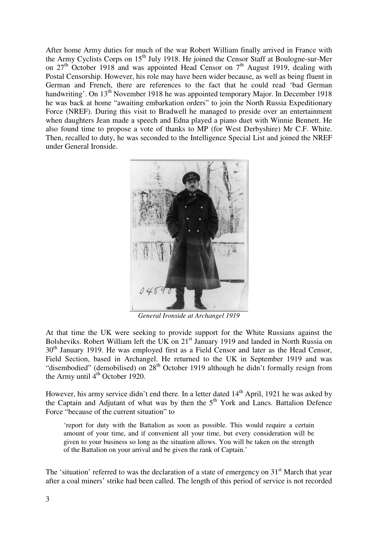After home Army duties for much of the war Robert William finally arrived in France with the Army Cyclists Corps on  $15<sup>th</sup>$  July 1918. He joined the Censor Staff at Boulogne-sur-Mer on  $27<sup>th</sup>$  October 1918 and was appointed Head Censor on  $7<sup>th</sup>$  August 1919, dealing with Postal Censorship. However, his role may have been wider because, as well as being fluent in German and French, there are references to the fact that he could read 'bad German handwriting'. On 13<sup>th</sup> November 1918 he was appointed temporary Major. In December 1918 he was back at home "awaiting embarkation orders" to join the North Russia Expeditionary Force (NREF). During this visit to Bradwell he managed to preside over an entertainment when daughters Jean made a speech and Edna played a piano duet with Winnie Bennett. He also found time to propose a vote of thanks to MP (for West Derbyshire) Mr C.F. White. Then, recalled to duty, he was seconded to the Intelligence Special List and joined the NREF under General Ironside.



*General Ironside at Archangel 1919* 

At that time the UK were seeking to provide support for the White Russians against the Bolsheviks. Robert William left the UK on 21<sup>st</sup> January 1919 and landed in North Russia on 30<sup>th</sup> January 1919. He was employed first as a Field Censor and later as the Head Censor, Field Section, based in Archangel. He returned to the UK in September 1919 and was "disembodied" (demobilised) on 28<sup>th</sup> October 1919 although he didn't formally resign from the Army until  $4<sup>th</sup>$  October 1920.

However, his army service didn't end there. In a letter dated 14<sup>th</sup> April, 1921 he was asked by the Captain and Adjutant of what was by then the  $5<sup>th</sup>$  York and Lancs. Battalion Defence Force "because of the current situation" to

'report for duty with the Battalion as soon as possible. This would require a certain amount of your time, and if convenient all your time, but every consideration will be given to your business so long as the situation allows. You will be taken on the strength of the Battalion on your arrival and be given the rank of Captain.'

The 'situation' referred to was the declaration of a state of emergency on  $31<sup>st</sup>$  March that year after a coal miners' strike had been called. The length of this period of service is not recorded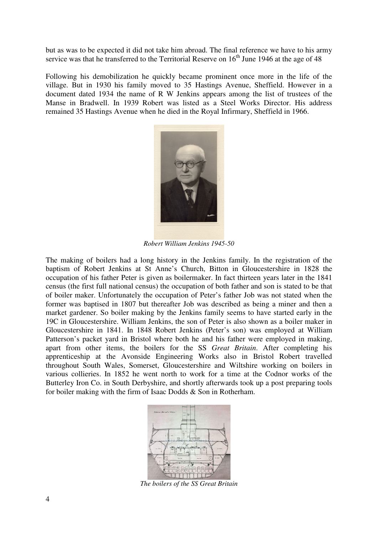but as was to be expected it did not take him abroad. The final reference we have to his army service was that he transferred to the Territorial Reserve on  $16<sup>th</sup>$  June 1946 at the age of 48

Following his demobilization he quickly became prominent once more in the life of the village. But in 1930 his family moved to 35 Hastings Avenue, Sheffield. However in a document dated 1934 the name of R W Jenkins appears among the list of trustees of the Manse in Bradwell. In 1939 Robert was listed as a Steel Works Director. His address remained 35 Hastings Avenue when he died in the Royal Infirmary, Sheffield in 1966.



*Robert William Jenkins 1945-50* 

The making of boilers had a long history in the Jenkins family. In the registration of the baptism of Robert Jenkins at St Anne's Church, Bitton in Gloucestershire in 1828 the occupation of his father Peter is given as boilermaker. In fact thirteen years later in the 1841 census (the first full national census) the occupation of both father and son is stated to be that of boiler maker. Unfortunately the occupation of Peter's father Job was not stated when the former was baptised in 1807 but thereafter Job was described as being a miner and then a market gardener. So boiler making by the Jenkins family seems to have started early in the 19C in Gloucestershire. William Jenkins, the son of Peter is also shown as a boiler maker in Gloucestershire in 1841. In 1848 Robert Jenkins (Peter's son) was employed at William Patterson's packet yard in Bristol where both he and his father were employed in making, apart from other items, the boilers for the SS *Great Britain*. After completing his apprenticeship at the Avonside Engineering Works also in Bristol Robert travelled throughout South Wales, Somerset, Gloucestershire and Wiltshire working on boilers in various collieries. In 1852 he went north to work for a time at the Codnor works of the Butterley Iron Co. in South Derbyshire, and shortly afterwards took up a post preparing tools for boiler making with the firm of Isaac Dodds & Son in Rotherham.



*The boilers of the SS Great Britain*